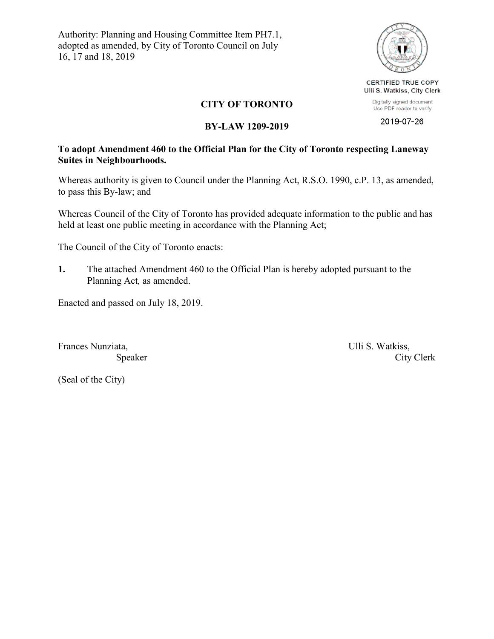Authority: Planning and Housing Committee Item PH7.1, adopted as amended, by City of Toronto Council on July 16, 17 and 18, 2019



CERTIFIED TRUE COPY Ulli S. Watkiss, City Clerk

Digitally signed document Use PDF reader to verify 2019-07-26

### **CITY OF TORONTO**

#### **BY-LAW 1209-2019**

### **To adopt Amendment 460 to the Official Plan for the City of Toronto respecting Laneway Suites in Neighbourhoods.**

Whereas authority is given to Council under the Planning Act, R.S.O. 1990, c.P. 13, as amended, to pass this By-law; and

Whereas Council of the City of Toronto has provided adequate information to the public and has held at least one public meeting in accordance with the Planning Act;

The Council of the City of Toronto enacts:

**1.** The attached Amendment 460 to the Official Plan is hereby adopted pursuant to the Planning Act*,* as amended.

Enacted and passed on July 18, 2019.

Frances Nunziata, **Exercise 2.1 Intervalse Serverse** Ulli S. Watkiss,

Speaker City Clerk

(Seal of the City)